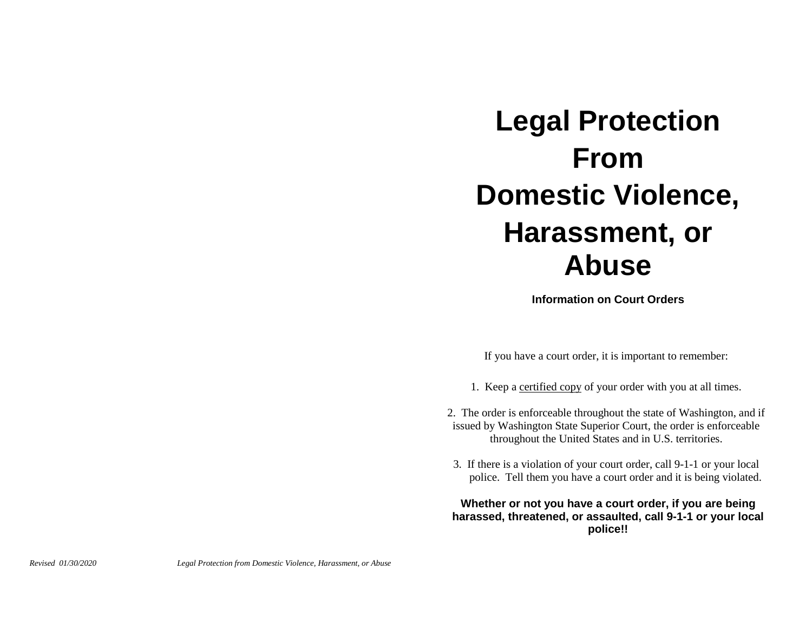## **Legal Protection From Domestic Violence, Harassment, or Abuse**

**Information on Court Orders**

If you have a court order, it is important to remember:

- 1. Keep a certified copy of your order with you at all times.
- 2. The order is enforceable throughout the state of Washington, and if issued by Washington State Superior Court, the order is enforceable throughout the United States and in U.S. territories.
- 3. If there is a violation of your court order, call 9-1-1 or your local police. Tell them you have a court order and it is being violated.

## **Whether or not you have a court order, if you are being harassed, threatened, or assaulted, call 9-1-1 or your local police!!**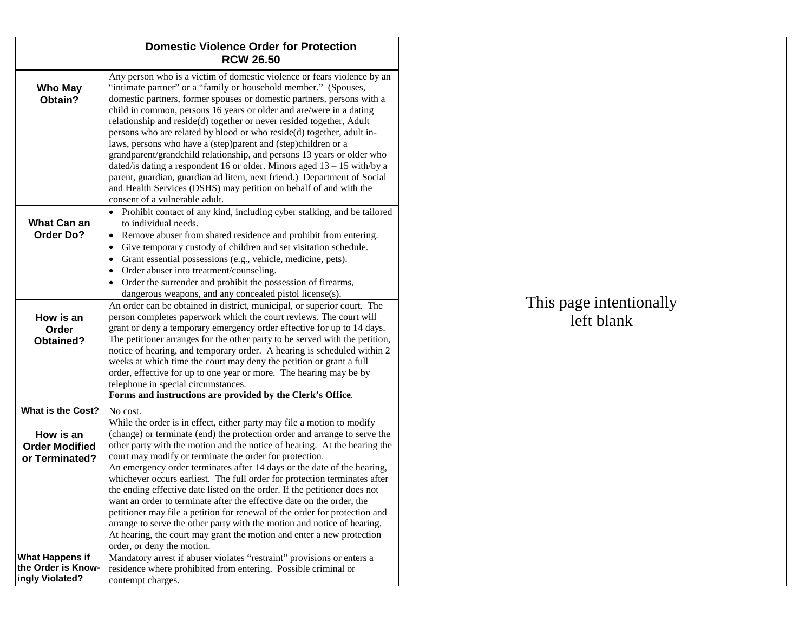|                                                          | <b>Domestic Violence Order for Protection</b><br><b>RCW 26.50</b>                                                                                                                                                                                                                                                                                                                                                                                                                                                                                                                                                                                                                                                                                                                                                                                      |
|----------------------------------------------------------|--------------------------------------------------------------------------------------------------------------------------------------------------------------------------------------------------------------------------------------------------------------------------------------------------------------------------------------------------------------------------------------------------------------------------------------------------------------------------------------------------------------------------------------------------------------------------------------------------------------------------------------------------------------------------------------------------------------------------------------------------------------------------------------------------------------------------------------------------------|
| Who May<br>Obtain?                                       | Any person who is a victim of domestic violence or fears violence by an<br>"intimate partner" or a "family or household member." (Spouses,<br>domestic partners, former spouses or domestic partners, persons with a<br>child in common, persons 16 years or older and are/were in a dating<br>relationship and reside(d) together or never resided together, Adult<br>persons who are related by blood or who reside(d) together, adult in-<br>laws, persons who have a (step)parent and (step)children or a<br>grandparent/grandchild relationship, and persons 13 years or older who<br>dated/is dating a respondent 16 or older. Minors aged $13 - 15$ with/by a<br>parent, guardian, guardian ad litem, next friend.) Department of Social<br>and Health Services (DSHS) may petition on behalf of and with the<br>consent of a vulnerable adult. |
| What Can an<br><b>Order Do?</b>                          | Prohibit contact of any kind, including cyber stalking, and be tailored<br>to individual needs.<br>Remove abuser from shared residence and prohibit from entering.<br>$\bullet$<br>Give temporary custody of children and set visitation schedule.<br>$\bullet$                                                                                                                                                                                                                                                                                                                                                                                                                                                                                                                                                                                        |
|                                                          | Grant essential possessions (e.g., vehicle, medicine, pets).<br>$\bullet$<br>Order abuser into treatment/counseling.<br>$\bullet$<br>Order the surrender and prohibit the possession of firearms,<br>dangerous weapons, and any concealed pistol license(s).                                                                                                                                                                                                                                                                                                                                                                                                                                                                                                                                                                                           |
| How is an<br>Order<br>Obtained?                          | An order can be obtained in district, municipal, or superior court. The<br>person completes paperwork which the court reviews. The court will<br>grant or deny a temporary emergency order effective for up to 14 days.<br>The petitioner arranges for the other party to be served with the petition,                                                                                                                                                                                                                                                                                                                                                                                                                                                                                                                                                 |
|                                                          | notice of hearing, and temporary order. A hearing is scheduled within 2<br>weeks at which time the court may deny the petition or grant a full<br>order, effective for up to one year or more. The hearing may be by<br>telephone in special circumstances.<br>Forms and instructions are provided by the Clerk's Office.                                                                                                                                                                                                                                                                                                                                                                                                                                                                                                                              |
| <b>What is the Cost?</b>                                 | No cost.                                                                                                                                                                                                                                                                                                                                                                                                                                                                                                                                                                                                                                                                                                                                                                                                                                               |
| How is an<br><b>Order Modified</b><br>or Terminated?     | While the order is in effect, either party may file a motion to modify<br>(change) or terminate (end) the protection order and arrange to serve the<br>other party with the motion and the notice of hearing. At the hearing the<br>court may modify or terminate the order for protection.                                                                                                                                                                                                                                                                                                                                                                                                                                                                                                                                                            |
|                                                          | An emergency order terminates after 14 days or the date of the hearing,<br>whichever occurs earliest. The full order for protection terminates after<br>the ending effective date listed on the order. If the petitioner does not<br>want an order to terminate after the effective date on the order, the<br>petitioner may file a petition for renewal of the order for protection and<br>arrange to serve the other party with the motion and notice of hearing.<br>At hearing, the court may grant the motion and enter a new protection<br>order, or deny the motion.                                                                                                                                                                                                                                                                             |
| What Happens if<br>the Order is Know-<br>ingly Violated? | Mandatory arrest if abuser violates "restraint" provisions or enters a<br>residence where prohibited from entering. Possible criminal or<br>contempt charges.                                                                                                                                                                                                                                                                                                                                                                                                                                                                                                                                                                                                                                                                                          |

## This page intentionally left blank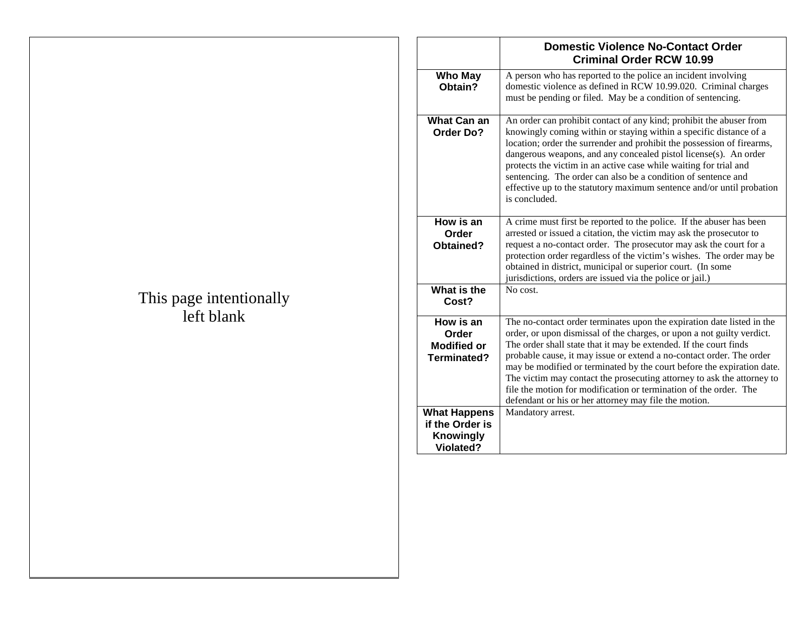| This page intentionally |  |
|-------------------------|--|
| left blank              |  |

|                                                                                | <b>Domestic Violence No-Contact Order</b><br><b>Criminal Order RCW 10.99</b>                                                                                                                                                                                                                                                                                                                                                                                                                                                                                                    |
|--------------------------------------------------------------------------------|---------------------------------------------------------------------------------------------------------------------------------------------------------------------------------------------------------------------------------------------------------------------------------------------------------------------------------------------------------------------------------------------------------------------------------------------------------------------------------------------------------------------------------------------------------------------------------|
| <b>Who May</b><br>Obtain?                                                      | A person who has reported to the police an incident involving<br>domestic violence as defined in RCW 10.99.020. Criminal charges<br>must be pending or filed. May be a condition of sentencing.                                                                                                                                                                                                                                                                                                                                                                                 |
| <b>What Can an</b><br>Order Do?                                                | An order can prohibit contact of any kind; prohibit the abuser from<br>knowingly coming within or staying within a specific distance of a<br>location; order the surrender and prohibit the possession of firearms,<br>dangerous weapons, and any concealed pistol license(s). An order<br>protects the victim in an active case while waiting for trial and<br>sentencing. The order can also be a condition of sentence and<br>effective up to the statutory maximum sentence and/or until probation<br>is concluded.                                                         |
| How is an<br>Order<br>Obtained?                                                | A crime must first be reported to the police. If the abuser has been<br>arrested or issued a citation, the victim may ask the prosecutor to<br>request a no-contact order. The prosecutor may ask the court for a<br>protection order regardless of the victim's wishes. The order may be<br>obtained in district, municipal or superior court. (In some<br>jurisdictions, orders are issued via the police or jail.)                                                                                                                                                           |
| What is the<br>Cost?                                                           | No cost.                                                                                                                                                                                                                                                                                                                                                                                                                                                                                                                                                                        |
| How is an<br>Order<br><b>Modified or</b><br>Terminated?                        | The no-contact order terminates upon the expiration date listed in the<br>order, or upon dismissal of the charges, or upon a not guilty verdict.<br>The order shall state that it may be extended. If the court finds<br>probable cause, it may issue or extend a no-contact order. The order<br>may be modified or terminated by the court before the expiration date.<br>The victim may contact the prosecuting attorney to ask the attorney to<br>file the motion for modification or termination of the order. The<br>defendant or his or her attorney may file the motion. |
| <b>What Happens</b><br>if the Order is<br><b>Knowingly</b><br><b>Violated?</b> | Mandatory arrest.                                                                                                                                                                                                                                                                                                                                                                                                                                                                                                                                                               |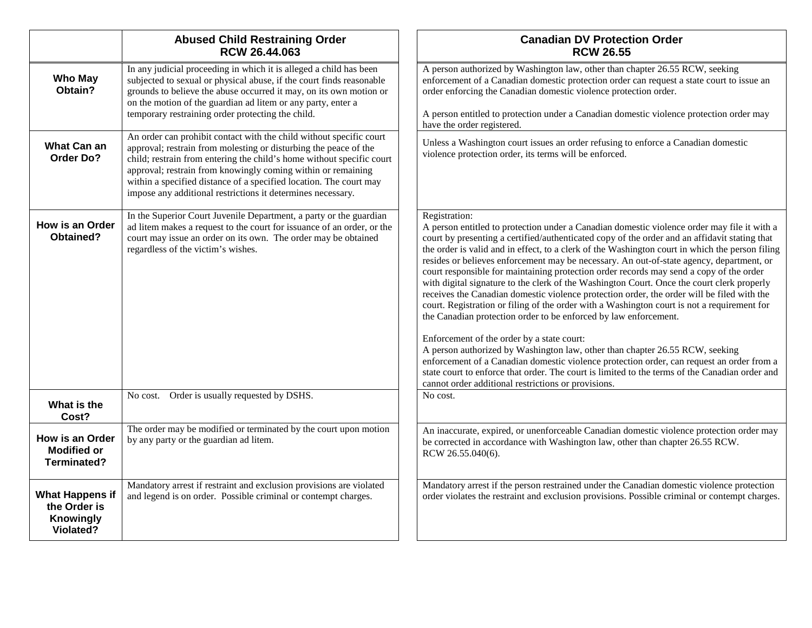|                                                                         | <b>Abused Child Restraining Order</b><br>RCW 26.44.063                                                                                                                                                                                                                                                                                                                                                                | <b>Canadian DV Protection Order</b><br><b>RCW 26.55</b>                                                                                                                                                                                                                                                                                                                                                                                                                                                                                                                                                                                                                                                                                                                                                                                                                                                                                                                                                                                                                                                                                                                                                                                                    |
|-------------------------------------------------------------------------|-----------------------------------------------------------------------------------------------------------------------------------------------------------------------------------------------------------------------------------------------------------------------------------------------------------------------------------------------------------------------------------------------------------------------|------------------------------------------------------------------------------------------------------------------------------------------------------------------------------------------------------------------------------------------------------------------------------------------------------------------------------------------------------------------------------------------------------------------------------------------------------------------------------------------------------------------------------------------------------------------------------------------------------------------------------------------------------------------------------------------------------------------------------------------------------------------------------------------------------------------------------------------------------------------------------------------------------------------------------------------------------------------------------------------------------------------------------------------------------------------------------------------------------------------------------------------------------------------------------------------------------------------------------------------------------------|
| <b>Who May</b><br>Obtain?                                               | In any judicial proceeding in which it is alleged a child has been<br>subjected to sexual or physical abuse, if the court finds reasonable<br>grounds to believe the abuse occurred it may, on its own motion or<br>on the motion of the guardian ad litem or any party, enter a<br>temporary restraining order protecting the child.                                                                                 | A person authorized by Washington law, other than chapter 26.55 RCW, seeking<br>enforcement of a Canadian domestic protection order can request a state court to issue an<br>order enforcing the Canadian domestic violence protection order.<br>A person entitled to protection under a Canadian domestic violence protection order may<br>have the order registered.                                                                                                                                                                                                                                                                                                                                                                                                                                                                                                                                                                                                                                                                                                                                                                                                                                                                                     |
| <b>What Can an</b><br><b>Order Do?</b>                                  | An order can prohibit contact with the child without specific court<br>approval; restrain from molesting or disturbing the peace of the<br>child; restrain from entering the child's home without specific court<br>approval; restrain from knowingly coming within or remaining<br>within a specified distance of a specified location. The court may<br>impose any additional restrictions it determines necessary. | Unless a Washington court issues an order refusing to enforce a Canadian domestic<br>violence protection order, its terms will be enforced.                                                                                                                                                                                                                                                                                                                                                                                                                                                                                                                                                                                                                                                                                                                                                                                                                                                                                                                                                                                                                                                                                                                |
| How is an Order<br>Obtained?                                            | In the Superior Court Juvenile Department, a party or the guardian<br>ad litem makes a request to the court for issuance of an order, or the<br>court may issue an order on its own. The order may be obtained<br>regardless of the victim's wishes.                                                                                                                                                                  | Registration:<br>A person entitled to protection under a Canadian domestic violence order may file it with a<br>court by presenting a certified/authenticated copy of the order and an affidavit stating that<br>the order is valid and in effect, to a clerk of the Washington court in which the person filing<br>resides or believes enforcement may be necessary. An out-of-state agency, department, or<br>court responsible for maintaining protection order records may send a copy of the order<br>with digital signature to the clerk of the Washington Court. Once the court clerk properly<br>receives the Canadian domestic violence protection order, the order will be filed with the<br>court. Registration or filing of the order with a Washington court is not a requirement for<br>the Canadian protection order to be enforced by law enforcement.<br>Enforcement of the order by a state court:<br>A person authorized by Washington law, other than chapter 26.55 RCW, seeking<br>enforcement of a Canadian domestic violence protection order, can request an order from a<br>state court to enforce that order. The court is limited to the terms of the Canadian order and<br>cannot order additional restrictions or provisions. |
| What is the<br>Cost?                                                    | No cost. Order is usually requested by DSHS.                                                                                                                                                                                                                                                                                                                                                                          | No cost.                                                                                                                                                                                                                                                                                                                                                                                                                                                                                                                                                                                                                                                                                                                                                                                                                                                                                                                                                                                                                                                                                                                                                                                                                                                   |
| <b>How is an Order</b><br><b>Modified or</b><br>Terminated?             | The order may be modified or terminated by the court upon motion<br>by any party or the guardian ad litem.                                                                                                                                                                                                                                                                                                            | An inaccurate, expired, or unenforceable Canadian domestic violence protection order may<br>be corrected in accordance with Washington law, other than chapter 26.55 RCW.<br>RCW 26.55.040(6).                                                                                                                                                                                                                                                                                                                                                                                                                                                                                                                                                                                                                                                                                                                                                                                                                                                                                                                                                                                                                                                             |
| <b>What Happens if</b><br>the Order is<br><b>Knowingly</b><br>Violated? | Mandatory arrest if restraint and exclusion provisions are violated<br>and legend is on order. Possible criminal or contempt charges.                                                                                                                                                                                                                                                                                 | Mandatory arrest if the person restrained under the Canadian domestic violence protection<br>order violates the restraint and exclusion provisions. Possible criminal or contempt charges.                                                                                                                                                                                                                                                                                                                                                                                                                                                                                                                                                                                                                                                                                                                                                                                                                                                                                                                                                                                                                                                                 |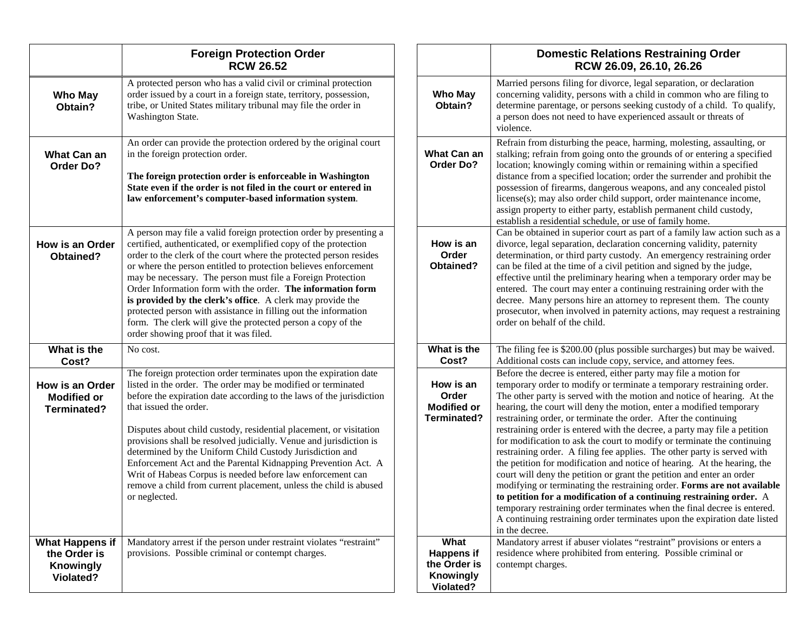|                                                                         | <b>Foreign Protection Order</b><br><b>RCW 26.52</b>                                                                                                                                                                                                                                                                                                                                                                                                                                                                                                                                                                                                             |                                                                     |
|-------------------------------------------------------------------------|-----------------------------------------------------------------------------------------------------------------------------------------------------------------------------------------------------------------------------------------------------------------------------------------------------------------------------------------------------------------------------------------------------------------------------------------------------------------------------------------------------------------------------------------------------------------------------------------------------------------------------------------------------------------|---------------------------------------------------------------------|
| Who May<br>Obtain?                                                      | A protected person who has a valid civil or criminal protection<br>order issued by a court in a foreign state, territory, possession,<br>tribe, or United States military tribunal may file the order in<br>Washington State.                                                                                                                                                                                                                                                                                                                                                                                                                                   | <b>Who May</b><br>Obtain?                                           |
| What Can an<br><b>Order Do?</b>                                         | An order can provide the protection ordered by the original court<br>in the foreign protection order.<br>The foreign protection order is enforceable in Washington<br>State even if the order is not filed in the court or entered in<br>law enforcement's computer-based information system.                                                                                                                                                                                                                                                                                                                                                                   | <b>What Can an</b><br>Order Do?                                     |
| How is an Order<br>Obtained?                                            | A person may file a valid foreign protection order by presenting a<br>certified, authenticated, or exemplified copy of the protection<br>order to the clerk of the court where the protected person resides<br>or where the person entitled to protection believes enforcement<br>may be necessary. The person must file a Foreign Protection<br>Order Information form with the order. The information form<br>is provided by the clerk's office. A clerk may provide the<br>protected person with assistance in filling out the information<br>form. The clerk will give the protected person a copy of the<br>order showing proof that it was filed.         | How is an<br>Order<br>Obtained?                                     |
| What is the<br>Cost?                                                    | No cost.                                                                                                                                                                                                                                                                                                                                                                                                                                                                                                                                                                                                                                                        | What is the<br>Cost?                                                |
| How is an Order<br><b>Modified or</b><br>Terminated?                    | The foreign protection order terminates upon the expiration date<br>listed in the order. The order may be modified or terminated<br>before the expiration date according to the laws of the jurisdiction<br>that issued the order.<br>Disputes about child custody, residential placement, or visitation<br>provisions shall be resolved judicially. Venue and jurisdiction is<br>determined by the Uniform Child Custody Jurisdiction and<br>Enforcement Act and the Parental Kidnapping Prevention Act. A<br>Writ of Habeas Corpus is needed before law enforcement can<br>remove a child from current placement, unless the child is abused<br>or neglected. | How is an<br>Order<br><b>Modified or</b><br><b>Terminated?</b>      |
| <b>What Happens if</b><br>the Order is<br><b>Knowingly</b><br>Violated? | Mandatory arrest if the person under restraint violates "restraint"<br>provisions. Possible criminal or contempt charges.                                                                                                                                                                                                                                                                                                                                                                                                                                                                                                                                       | What<br><b>Happens if</b><br>the Order is<br>Knowingly<br>Violated? |

|                                                                | <b>Domestic Relations Restraining Order</b><br>RCW 26.09, 26.10, 26.26                                                                                                                                                                                                                                                                                                                                                                                                                                                                                                                                                                                                                                                                                                                                                                                                                                                                                                                                                                                                              |
|----------------------------------------------------------------|-------------------------------------------------------------------------------------------------------------------------------------------------------------------------------------------------------------------------------------------------------------------------------------------------------------------------------------------------------------------------------------------------------------------------------------------------------------------------------------------------------------------------------------------------------------------------------------------------------------------------------------------------------------------------------------------------------------------------------------------------------------------------------------------------------------------------------------------------------------------------------------------------------------------------------------------------------------------------------------------------------------------------------------------------------------------------------------|
| <b>Who May</b><br>Obtain?                                      | Married persons filing for divorce, legal separation, or declaration<br>concerning validity, persons with a child in common who are filing to<br>determine parentage, or persons seeking custody of a child. To qualify,<br>a person does not need to have experienced assault or threats of<br>violence.                                                                                                                                                                                                                                                                                                                                                                                                                                                                                                                                                                                                                                                                                                                                                                           |
| <b>What Can an</b><br>Order Do?                                | Refrain from disturbing the peace, harming, molesting, assaulting, or<br>stalking; refrain from going onto the grounds of or entering a specified<br>location; knowingly coming within or remaining within a specified<br>distance from a specified location; order the surrender and prohibit the<br>possession of firearms, dangerous weapons, and any concealed pistol<br>license(s); may also order child support, order maintenance income,<br>assign property to either party, establish permanent child custody,<br>establish a residential schedule, or use of family home.                                                                                                                                                                                                                                                                                                                                                                                                                                                                                                 |
| How is an<br>Order<br>Obtained?                                | Can be obtained in superior court as part of a family law action such as a<br>divorce, legal separation, declaration concerning validity, paternity<br>determination, or third party custody. An emergency restraining order<br>can be filed at the time of a civil petition and signed by the judge,<br>effective until the preliminary hearing when a temporary order may be<br>entered. The court may enter a continuing restraining order with the<br>decree. Many persons hire an attorney to represent them. The county<br>prosecutor, when involved in paternity actions, may request a restraining<br>order on behalf of the child.                                                                                                                                                                                                                                                                                                                                                                                                                                         |
| What is the<br>Cost?                                           | The filing fee is \$200.00 (plus possible surcharges) but may be waived.<br>Additional costs can include copy, service, and attorney fees.                                                                                                                                                                                                                                                                                                                                                                                                                                                                                                                                                                                                                                                                                                                                                                                                                                                                                                                                          |
| How is an<br>Order<br><b>Modified or</b><br><b>Terminated?</b> | Before the decree is entered, either party may file a motion for<br>temporary order to modify or terminate a temporary restraining order.<br>The other party is served with the motion and notice of hearing. At the<br>hearing, the court will deny the motion, enter a modified temporary<br>restraining order, or terminate the order. After the continuing<br>restraining order is entered with the decree, a party may file a petition<br>for modification to ask the court to modify or terminate the continuing<br>restraining order. A filing fee applies. The other party is served with<br>the petition for modification and notice of hearing. At the hearing, the<br>court will deny the petition or grant the petition and enter an order<br>modifying or terminating the restraining order. Forms are not available<br>to petition for a modification of a continuing restraining order. A<br>temporary restraining order terminates when the final decree is entered.<br>A continuing restraining order terminates upon the expiration date listed<br>in the decree. |
| What<br><b>Happens if</b>                                      | Mandatory arrest if abuser violates "restraint" provisions or enters a<br>residence where prohibited from entering. Possible criminal or                                                                                                                                                                                                                                                                                                                                                                                                                                                                                                                                                                                                                                                                                                                                                                                                                                                                                                                                            |
| the Order is<br>Knowingly<br><b>Violated?</b>                  | contempt charges.                                                                                                                                                                                                                                                                                                                                                                                                                                                                                                                                                                                                                                                                                                                                                                                                                                                                                                                                                                                                                                                                   |